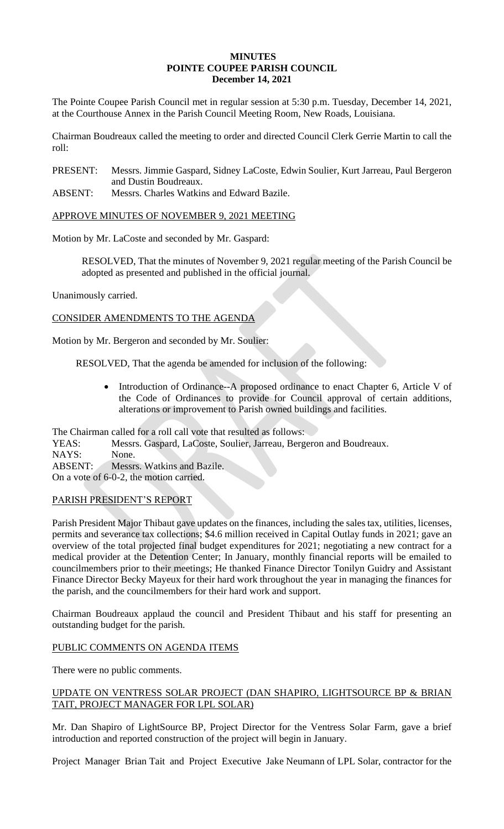### **MINUTES POINTE COUPEE PARISH COUNCIL December 14, 2021**

The Pointe Coupee Parish Council met in regular session at 5:30 p.m. Tuesday, December 14, 2021, at the Courthouse Annex in the Parish Council Meeting Room, New Roads, Louisiana.

Chairman Boudreaux called the meeting to order and directed Council Clerk Gerrie Martin to call the roll:

PRESENT: Messrs. Jimmie Gaspard, Sidney LaCoste, Edwin Soulier, Kurt Jarreau, Paul Bergeron and Dustin Boudreaux.

ABSENT: Messrs. Charles Watkins and Edward Bazile.

## APPROVE MINUTES OF NOVEMBER 9, 2021 MEETING

Motion by Mr. LaCoste and seconded by Mr. Gaspard:

RESOLVED, That the minutes of November 9, 2021 regular meeting of the Parish Council be adopted as presented and published in the official journal.

Unanimously carried.

## CONSIDER AMENDMENTS TO THE AGENDA

Motion by Mr. Bergeron and seconded by Mr. Soulier:

RESOLVED, That the agenda be amended for inclusion of the following:

Introduction of Ordinance--A proposed ordinance to enact Chapter 6, Article V of the Code of Ordinances to provide for Council approval of certain additions, alterations or improvement to Parish owned buildings and facilities.

The Chairman called for a roll call vote that resulted as follows:

YEAS: Messrs. Gaspard, LaCoste, Soulier, Jarreau, Bergeron and Boudreaux.

NAYS: None.

ABSENT: Messrs. Watkins and Bazile.

On a vote of 6-0-2, the motion carried.

### PARISH PRESIDENT'S REPORT

Parish President Major Thibaut gave updates on the finances, including the sales tax, utilities, licenses, permits and severance tax collections; \$4.6 million received in Capital Outlay funds in 2021; gave an overview of the total projected final budget expenditures for 2021; negotiating a new contract for a medical provider at the Detention Center; In January, monthly financial reports will be emailed to councilmembers prior to their meetings; He thanked Finance Director Tonilyn Guidry and Assistant Finance Director Becky Mayeux for their hard work throughout the year in managing the finances for the parish, and the councilmembers for their hard work and support.

Chairman Boudreaux applaud the council and President Thibaut and his staff for presenting an outstanding budget for the parish.

## PUBLIC COMMENTS ON AGENDA ITEMS

There were no public comments.

## UPDATE ON VENTRESS SOLAR PROJECT (DAN SHAPIRO, LIGHTSOURCE BP & BRIAN TAIT, PROJECT MANAGER FOR LPL SOLAR)

Mr. Dan Shapiro of LightSource BP, Project Director for the Ventress Solar Farm, gave a brief introduction and reported construction of the project will begin in January.

Project Manager Brian Tait and Project Executive Jake Neumann of LPL Solar, contractor for the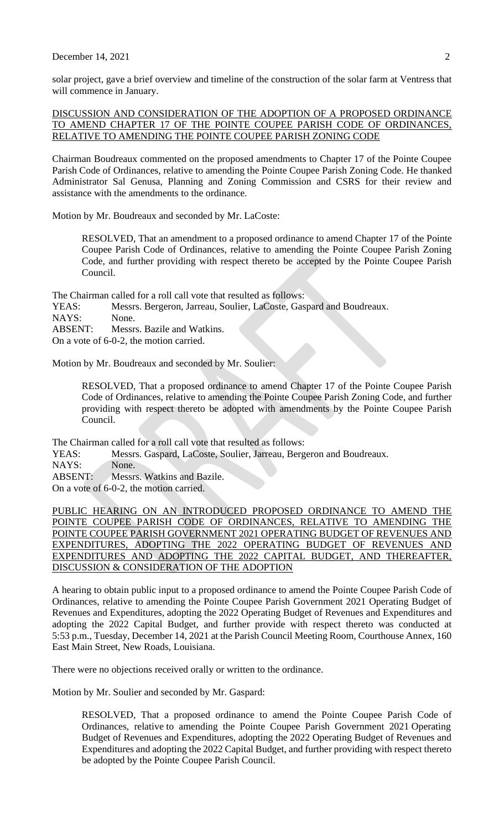### December 14, 2021  $\qquad \qquad$  2

solar project, gave a brief overview and timeline of the construction of the solar farm at Ventress that will commence in January.

### DISCUSSION AND CONSIDERATION OF THE ADOPTION OF A PROPOSED ORDINANCE TO AMEND CHAPTER 17 OF THE POINTE COUPEE PARISH CODE OF ORDINANCES, RELATIVE TO AMENDING THE POINTE COUPEE PARISH ZONING CODE

Chairman Boudreaux commented on the proposed amendments to Chapter 17 of the Pointe Coupee Parish Code of Ordinances, relative to amending the Pointe Coupee Parish Zoning Code. He thanked Administrator Sal Genusa, Planning and Zoning Commission and CSRS for their review and assistance with the amendments to the ordinance.

Motion by Mr. Boudreaux and seconded by Mr. LaCoste:

RESOLVED, That an amendment to a proposed ordinance to amend Chapter 17 of the Pointe Coupee Parish Code of Ordinances, relative to amending the Pointe Coupee Parish Zoning Code, and further providing with respect thereto be accepted by the Pointe Coupee Parish Council.

The Chairman called for a roll call vote that resulted as follows:

YEAS: Messrs. Bergeron, Jarreau, Soulier, LaCoste, Gaspard and Boudreaux.

NAYS: None.

ABSENT: Messrs. Bazile and Watkins.

On a vote of 6-0-2, the motion carried.

Motion by Mr. Boudreaux and seconded by Mr. Soulier:

RESOLVED, That a proposed ordinance to amend Chapter 17 of the Pointe Coupee Parish Code of Ordinances, relative to amending the Pointe Coupee Parish Zoning Code, and further providing with respect thereto be adopted with amendments by the Pointe Coupee Parish Council.

The Chairman called for a roll call vote that resulted as follows:

YEAS: Messrs. Gaspard, LaCoste, Soulier, Jarreau, Bergeron and Boudreaux.

NAYS: None.

ABSENT: Messrs. Watkins and Bazile.

On a vote of 6-0-2, the motion carried.

PUBLIC HEARING ON AN INTRODUCED PROPOSED ORDINANCE TO AMEND THE POINTE COUPEE PARISH CODE OF ORDINANCES, RELATIVE TO AMENDING THE POINTE COUPEE PARISH GOVERNMENT 2021 OPERATING BUDGET OF REVENUES AND EXPENDITURES, ADOPTING THE 2022 OPERATING BUDGET OF REVENUES AND EXPENDITURES AND ADOPTING THE 2022 CAPITAL BUDGET, AND THEREAFTER, DISCUSSION & CONSIDERATION OF THE ADOPTION

A hearing to obtain public input to a proposed ordinance to amend the Pointe Coupee Parish Code of Ordinances, relative to amending the Pointe Coupee Parish Government 2021 Operating Budget of Revenues and Expenditures, adopting the 2022 Operating Budget of Revenues and Expenditures and adopting the 2022 Capital Budget, and further provide with respect thereto was conducted at 5:53 p.m., Tuesday, December 14, 2021 at the Parish Council Meeting Room, Courthouse Annex, 160 East Main Street, New Roads, Louisiana.

There were no objections received orally or written to the ordinance.

Motion by Mr. Soulier and seconded by Mr. Gaspard:

RESOLVED, That a proposed ordinance to amend the Pointe Coupee Parish Code of Ordinances, relative to amending the Pointe Coupee Parish Government 2021 Operating Budget of Revenues and Expenditures, adopting the 2022 Operating Budget of Revenues and Expenditures and adopting the 2022 Capital Budget, and further providing with respect thereto be adopted by the Pointe Coupee Parish Council.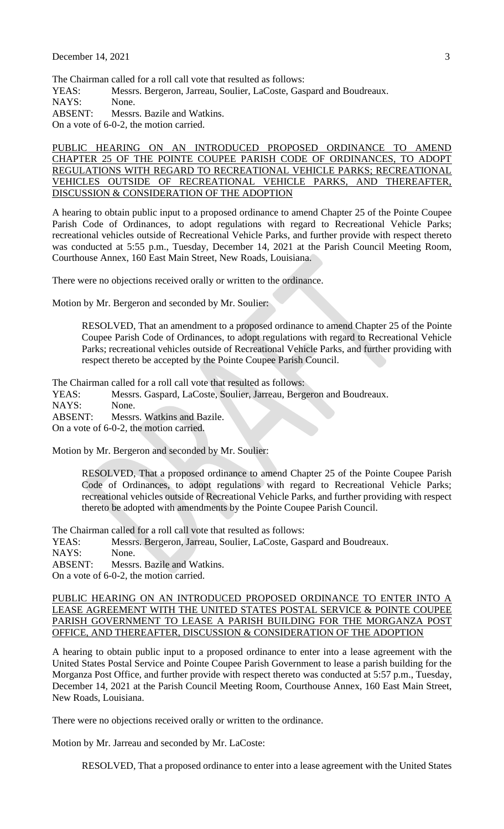The Chairman called for a roll call vote that resulted as follows:

YEAS: Messrs. Bergeron, Jarreau, Soulier, LaCoste, Gaspard and Boudreaux.

NAYS: None.

ABSENT: Messrs. Bazile and Watkins.

On a vote of 6-0-2, the motion carried.

PUBLIC HEARING ON AN INTRODUCED PROPOSED ORDINANCE TO AMEND CHAPTER 25 OF THE POINTE COUPEE PARISH CODE OF ORDINANCES, TO ADOPT REGULATIONS WITH REGARD TO RECREATIONAL VEHICLE PARKS; RECREATIONAL VEHICLES OUTSIDE OF RECREATIONAL VEHICLE PARKS, AND THEREAFTER, DISCUSSION & CONSIDERATION OF THE ADOPTION

A hearing to obtain public input to a proposed ordinance to amend Chapter 25 of the Pointe Coupee Parish Code of Ordinances, to adopt regulations with regard to Recreational Vehicle Parks; recreational vehicles outside of Recreational Vehicle Parks, and further provide with respect thereto was conducted at 5:55 p.m., Tuesday, December 14, 2021 at the Parish Council Meeting Room, Courthouse Annex, 160 East Main Street, New Roads, Louisiana.

There were no objections received orally or written to the ordinance.

Motion by Mr. Bergeron and seconded by Mr. Soulier:

RESOLVED, That an amendment to a proposed ordinance to amend Chapter 25 of the Pointe Coupee Parish Code of Ordinances, to adopt regulations with regard to Recreational Vehicle Parks; recreational vehicles outside of Recreational Vehicle Parks, and further providing with respect thereto be accepted by the Pointe Coupee Parish Council.

The Chairman called for a roll call vote that resulted as follows:

YEAS: Messrs. Gaspard, LaCoste, Soulier, Jarreau, Bergeron and Boudreaux. NAYS: None. ABSENT: Messrs. Watkins and Bazile. On a vote of 6-0-2, the motion carried.

Motion by Mr. Bergeron and seconded by Mr. Soulier:

RESOLVED, That a proposed ordinance to amend Chapter 25 of the Pointe Coupee Parish Code of Ordinances, to adopt regulations with regard to Recreational Vehicle Parks; recreational vehicles outside of Recreational Vehicle Parks, and further providing with respect thereto be adopted with amendments by the Pointe Coupee Parish Council.

The Chairman called for a roll call vote that resulted as follows:

YEAS: Messrs. Bergeron, Jarreau, Soulier, LaCoste, Gaspard and Boudreaux.

NAYS: None.

ABSENT: Messrs. Bazile and Watkins.

On a vote of 6-0-2, the motion carried.

PUBLIC HEARING ON AN INTRODUCED PROPOSED ORDINANCE TO ENTER INTO A LEASE AGREEMENT WITH THE UNITED STATES POSTAL SERVICE & POINTE COUPEE PARISH GOVERNMENT TO LEASE A PARISH BUILDING FOR THE MORGANZA POST OFFICE, AND THEREAFTER, DISCUSSION & CONSIDERATION OF THE ADOPTION

A hearing to obtain public input to a proposed ordinance to enter into a lease agreement with the United States Postal Service and Pointe Coupee Parish Government to lease a parish building for the Morganza Post Office, and further provide with respect thereto was conducted at 5:57 p.m., Tuesday, December 14, 2021 at the Parish Council Meeting Room, Courthouse Annex, 160 East Main Street, New Roads, Louisiana.

There were no objections received orally or written to the ordinance.

Motion by Mr. Jarreau and seconded by Mr. LaCoste:

RESOLVED, That a proposed ordinance to enter into a lease agreement with the United States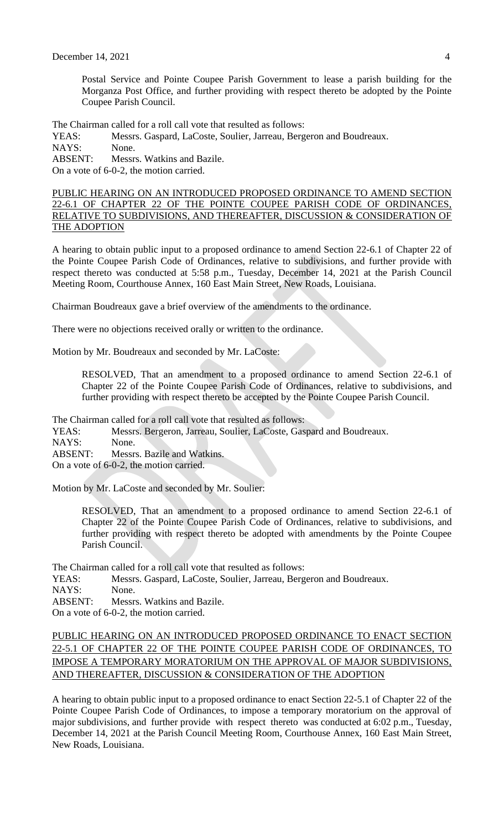Postal Service and Pointe Coupee Parish Government to lease a parish building for the Morganza Post Office, and further providing with respect thereto be adopted by the Pointe Coupee Parish Council.

The Chairman called for a roll call vote that resulted as follows:

YEAS: Messrs. Gaspard, LaCoste, Soulier, Jarreau, Bergeron and Boudreaux. NAYS: None.

ABSENT: Messrs. Watkins and Bazile.

On a vote of 6-0-2, the motion carried.

PUBLIC HEARING ON AN INTRODUCED PROPOSED ORDINANCE TO AMEND SECTION 22-6.1 OF CHAPTER 22 OF THE POINTE COUPEE PARISH CODE OF ORDINANCES, RELATIVE TO SUBDIVISIONS, AND THEREAFTER, DISCUSSION & CONSIDERATION OF THE ADOPTION

A hearing to obtain public input to a proposed ordinance to amend Section 22-6.1 of Chapter 22 of the Pointe Coupee Parish Code of Ordinances, relative to subdivisions, and further provide with respect thereto was conducted at 5:58 p.m., Tuesday, December 14, 2021 at the Parish Council Meeting Room, Courthouse Annex, 160 East Main Street, New Roads, Louisiana.

Chairman Boudreaux gave a brief overview of the amendments to the ordinance.

There were no objections received orally or written to the ordinance.

Motion by Mr. Boudreaux and seconded by Mr. LaCoste:

RESOLVED, That an amendment to a proposed ordinance to amend Section 22-6.1 of Chapter 22 of the Pointe Coupee Parish Code of Ordinances, relative to subdivisions, and further providing with respect thereto be accepted by the Pointe Coupee Parish Council.

The Chairman called for a roll call vote that resulted as follows:

YEAS: Messrs. Bergeron, Jarreau, Soulier, LaCoste, Gaspard and Boudreaux. NAYS: None. ABSENT: Messrs. Bazile and Watkins.

On a vote of 6-0-2, the motion carried.

Motion by Mr. LaCoste and seconded by Mr. Soulier:

RESOLVED, That an amendment to a proposed ordinance to amend Section 22-6.1 of Chapter 22 of the Pointe Coupee Parish Code of Ordinances, relative to subdivisions, and further providing with respect thereto be adopted with amendments by the Pointe Coupee Parish Council.

The Chairman called for a roll call vote that resulted as follows:

YEAS: Messrs. Gaspard, LaCoste, Soulier, Jarreau, Bergeron and Boudreaux.

NAYS: None.

ABSENT: Messrs. Watkins and Bazile.

On a vote of 6-0-2, the motion carried.

# PUBLIC HEARING ON AN INTRODUCED PROPOSED ORDINANCE TO ENACT SECTION 22-5.1 OF CHAPTER 22 OF THE POINTE COUPEE PARISH CODE OF ORDINANCES, TO IMPOSE A TEMPORARY MORATORIUM ON THE APPROVAL OF MAJOR SUBDIVISIONS, AND THEREAFTER, DISCUSSION & CONSIDERATION OF THE ADOPTION

A hearing to obtain public input to a proposed ordinance to enact Section 22-5.1 of Chapter 22 of the Pointe Coupee Parish Code of Ordinances, to impose a temporary moratorium on the approval of major subdivisions, and further provide with respect thereto was conducted at 6:02 p.m., Tuesday, December 14, 2021 at the Parish Council Meeting Room, Courthouse Annex, 160 East Main Street, New Roads, Louisiana.